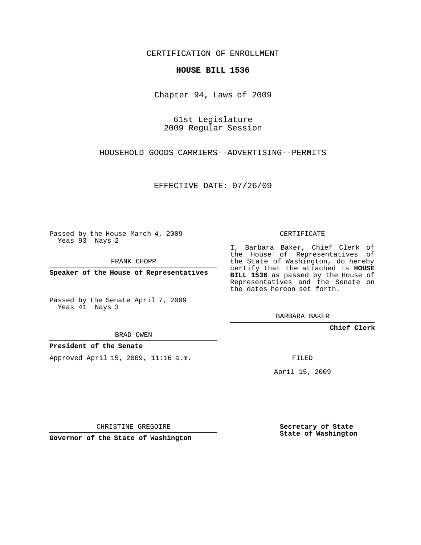CERTIFICATION OF ENROLLMENT

#### **HOUSE BILL 1536**

Chapter 94, Laws of 2009

61st Legislature 2009 Regular Session

HOUSEHOLD GOODS CARRIERS--ADVERTISING--PERMITS

EFFECTIVE DATE: 07/26/09

Passed by the House March 4, 2009 Yeas 93 Nays 2

FRANK CHOPP

**Speaker of the House of Representatives**

Passed by the Senate April 7, 2009 Yeas 41 Nays 3

BRAD OWEN

### **President of the Senate**

Approved April 15, 2009, 11:16 a.m.

CERTIFICATE

I, Barbara Baker, Chief Clerk of the House of Representatives of the State of Washington, do hereby certify that the attached is **HOUSE BILL 1536** as passed by the House of Representatives and the Senate on the dates hereon set forth.

BARBARA BAKER

**Chief Clerk**

FILED

April 15, 2009

CHRISTINE GREGOIRE

**Governor of the State of Washington**

**Secretary of State State of Washington**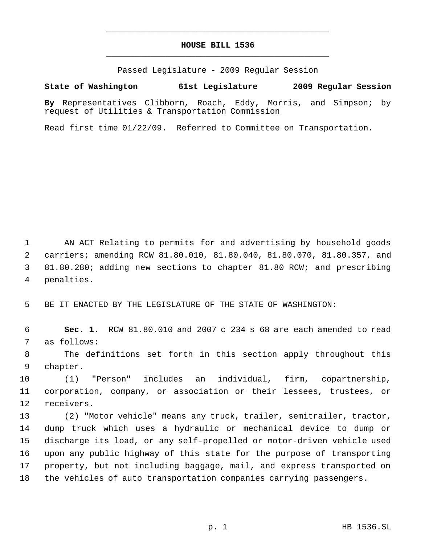## **HOUSE BILL 1536** \_\_\_\_\_\_\_\_\_\_\_\_\_\_\_\_\_\_\_\_\_\_\_\_\_\_\_\_\_\_\_\_\_\_\_\_\_\_\_\_\_\_\_\_\_

\_\_\_\_\_\_\_\_\_\_\_\_\_\_\_\_\_\_\_\_\_\_\_\_\_\_\_\_\_\_\_\_\_\_\_\_\_\_\_\_\_\_\_\_\_

Passed Legislature - 2009 Regular Session

**State of Washington 61st Legislature 2009 Regular Session**

**By** Representatives Clibborn, Roach, Eddy, Morris, and Simpson; by request of Utilities & Transportation Commission

Read first time 01/22/09. Referred to Committee on Transportation.

 AN ACT Relating to permits for and advertising by household goods carriers; amending RCW 81.80.010, 81.80.040, 81.80.070, 81.80.357, and 81.80.280; adding new sections to chapter 81.80 RCW; and prescribing penalties.

BE IT ENACTED BY THE LEGISLATURE OF THE STATE OF WASHINGTON:

 **Sec. 1.** RCW 81.80.010 and 2007 c 234 s 68 are each amended to read as follows:

 The definitions set forth in this section apply throughout this chapter.

 (1) "Person" includes an individual, firm, copartnership, corporation, company, or association or their lessees, trustees, or receivers.

 (2) "Motor vehicle" means any truck, trailer, semitrailer, tractor, dump truck which uses a hydraulic or mechanical device to dump or discharge its load, or any self-propelled or motor-driven vehicle used upon any public highway of this state for the purpose of transporting property, but not including baggage, mail, and express transported on the vehicles of auto transportation companies carrying passengers.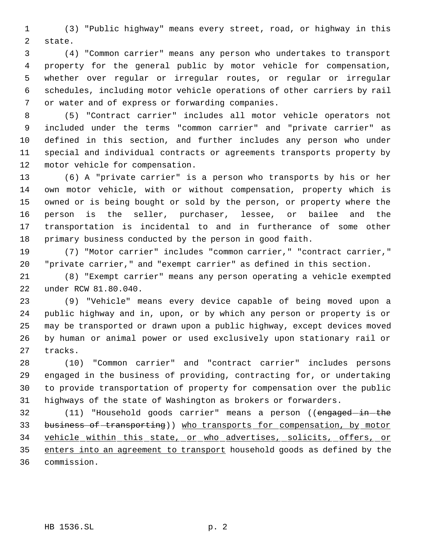(3) "Public highway" means every street, road, or highway in this state.

 (4) "Common carrier" means any person who undertakes to transport property for the general public by motor vehicle for compensation, whether over regular or irregular routes, or regular or irregular schedules, including motor vehicle operations of other carriers by rail or water and of express or forwarding companies.

 (5) "Contract carrier" includes all motor vehicle operators not included under the terms "common carrier" and "private carrier" as defined in this section, and further includes any person who under special and individual contracts or agreements transports property by motor vehicle for compensation.

 (6) A "private carrier" is a person who transports by his or her own motor vehicle, with or without compensation, property which is owned or is being bought or sold by the person, or property where the person is the seller, purchaser, lessee, or bailee and the transportation is incidental to and in furtherance of some other primary business conducted by the person in good faith.

 (7) "Motor carrier" includes "common carrier," "contract carrier," "private carrier," and "exempt carrier" as defined in this section.

 (8) "Exempt carrier" means any person operating a vehicle exempted under RCW 81.80.040.

 (9) "Vehicle" means every device capable of being moved upon a public highway and in, upon, or by which any person or property is or may be transported or drawn upon a public highway, except devices moved by human or animal power or used exclusively upon stationary rail or tracks.

 (10) "Common carrier" and "contract carrier" includes persons engaged in the business of providing, contracting for, or undertaking to provide transportation of property for compensation over the public highways of the state of Washington as brokers or forwarders.

32 (11) "Household goods carrier" means a person ((engaged-in-the business of transporting)) who transports for compensation, by motor vehicle within this state, or who advertises, solicits, offers, or 35 enters into an agreement to transport household goods as defined by the commission.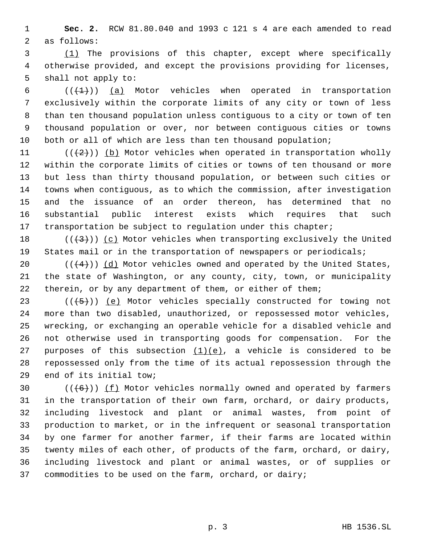**Sec. 2.** RCW 81.80.040 and 1993 c 121 s 4 are each amended to read as follows:

 (1) The provisions of this chapter, except where specifically otherwise provided, and except the provisions providing for licenses, shall not apply to:

 $((+1))$  (a) Motor vehicles when operated in transportation exclusively within the corporate limits of any city or town of less than ten thousand population unless contiguous to a city or town of ten thousand population or over, nor between contiguous cities or towns 10 both or all of which are less than ten thousand population;

 $((+2))$  (b) Motor vehicles when operated in transportation wholly within the corporate limits of cities or towns of ten thousand or more but less than thirty thousand population, or between such cities or towns when contiguous, as to which the commission, after investigation and the issuance of an order thereon, has determined that no substantial public interest exists which requires that such 17 transportation be subject to regulation under this chapter;

18  $((+3))$   $(c)$  Motor vehicles when transporting exclusively the United States mail or in the transportation of newspapers or periodicals;

20  $((+4))$   $(d)$  Motor vehicles owned and operated by the United States, the state of Washington, or any county, city, town, or municipality therein, or by any department of them, or either of them;

 $((\overline{5}))$  (e) Motor vehicles specially constructed for towing not more than two disabled, unauthorized, or repossessed motor vehicles, wrecking, or exchanging an operable vehicle for a disabled vehicle and not otherwise used in transporting goods for compensation. For the 27 purposes of this subsection  $(1)(e)$ , a vehicle is considered to be repossessed only from the time of its actual repossession through the end of its initial tow;

 $((+6))$   $(f)$  Motor vehicles normally owned and operated by farmers in the transportation of their own farm, orchard, or dairy products, including livestock and plant or animal wastes, from point of production to market, or in the infrequent or seasonal transportation by one farmer for another farmer, if their farms are located within twenty miles of each other, of products of the farm, orchard, or dairy, including livestock and plant or animal wastes, or of supplies or commodities to be used on the farm, orchard, or dairy;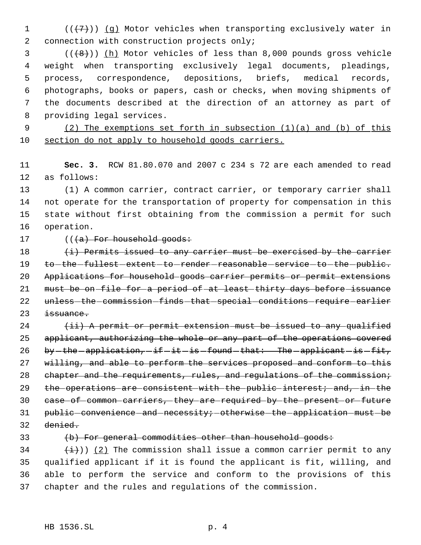1  $((+7))$  (g) Motor vehicles when transporting exclusively water in connection with construction projects only;

 (( $\left(\frac{8}{1}\right)$ ) (h) Motor vehicles of less than 8,000 pounds gross vehicle weight when transporting exclusively legal documents, pleadings, process, correspondence, depositions, briefs, medical records, photographs, books or papers, cash or checks, when moving shipments of the documents described at the direction of an attorney as part of providing legal services.

9 (2) The exemptions set forth in subsection (1)(a) and (b) of this section do not apply to household goods carriers.

 **Sec. 3.** RCW 81.80.070 and 2007 c 234 s 72 are each amended to read as follows:

 (1) A common carrier, contract carrier, or temporary carrier shall not operate for the transportation of property for compensation in this state without first obtaining from the commission a permit for such operation.

### 17 (((a) For household goods:

 $(i)$  Permits issued to any carrier must be exercised by the carrier 19 to-the-fullest-extent-to-render-reasonable-service-to-the-public. Applications for household goods carrier permits or permit extensions must be on file for a period of at least thirty days before issuance 22 unless-the-commission-finds-that-special-conditions-require-earlier issuance.

  $(iii)$  A permit or permit extension must be issued to any qualified 25 applicant, authorizing the whole or any part of the operations covered 26 by  $-$  the  $-$  application,  $-$  if  $-$  it  $-$  is  $-$  found  $-$  that: The  $-$  applicant  $-$  is  $-$  fit, willing, and able to perform the services proposed and conform to this 28 chapter and the requirements, rules, and regulations of the commission; 29 the operations are consistent with the public interest; and, in the case of common carriers, they are required by the present or future 31 public-convenience-and-necessity; otherwise-the-application-must-be denied.

#### 33 (b) For general commodities other than household goods:

 $(\frac{i}{1})$ ) (2) The commission shall issue a common carrier permit to any qualified applicant if it is found the applicant is fit, willing, and able to perform the service and conform to the provisions of this chapter and the rules and regulations of the commission.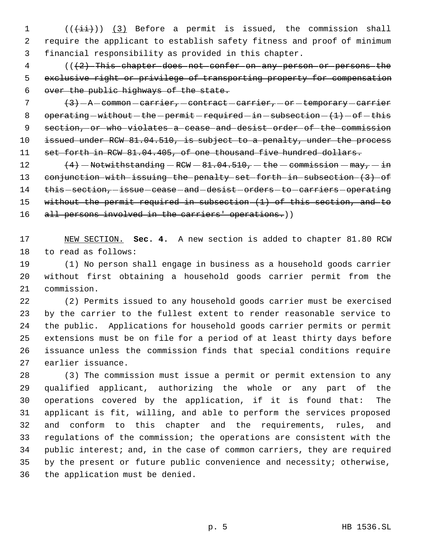1  $((\overrightarrow{\pm i}))$   $(3)$  Before a permit is issued, the commission shall require the applicant to establish safety fitness and proof of minimum financial responsibility as provided in this chapter.

 (((2) This chapter does not confer on any person or persons the exclusive right or privilege of transporting property for compensation over the public highways of the state.

  $\left\{3\right\}$  - A - common - carrier, - contract - carrier, - or - temporary - carrier 8 operating  $-without - the -permit - required - in-subsection - (1) - of - this$  section, or who violates a cease and desist order of the commission 10 issued under RCW 81.04.510, is subject to a penalty, under the process 11 set forth in RCW 81.04.405, of one thousand five hundred dollars.

12  $(4)$  - Notwithstanding - RCW - 81.04.510, - the - commission - may, - in conjunction with issuing the penalty set forth in subsection (3) of 14 this - section, - issue - cease - and - desist - orders - to - carriers - operating without the permit required in subsection (1) of this section, and to 16 all persons involved in the carriers' operations.))

 NEW SECTION. **Sec. 4.** A new section is added to chapter 81.80 RCW to read as follows:

 (1) No person shall engage in business as a household goods carrier without first obtaining a household goods carrier permit from the commission.

 (2) Permits issued to any household goods carrier must be exercised by the carrier to the fullest extent to render reasonable service to the public. Applications for household goods carrier permits or permit extensions must be on file for a period of at least thirty days before issuance unless the commission finds that special conditions require earlier issuance.

 (3) The commission must issue a permit or permit extension to any qualified applicant, authorizing the whole or any part of the operations covered by the application, if it is found that: The applicant is fit, willing, and able to perform the services proposed and conform to this chapter and the requirements, rules, and regulations of the commission; the operations are consistent with the public interest; and, in the case of common carriers, they are required by the present or future public convenience and necessity; otherwise, the application must be denied.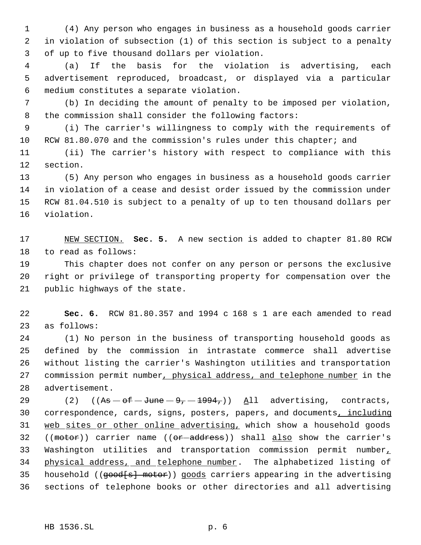(4) Any person who engages in business as a household goods carrier in violation of subsection (1) of this section is subject to a penalty of up to five thousand dollars per violation.

 (a) If the basis for the violation is advertising, each advertisement reproduced, broadcast, or displayed via a particular medium constitutes a separate violation.

 (b) In deciding the amount of penalty to be imposed per violation, the commission shall consider the following factors:

 (i) The carrier's willingness to comply with the requirements of 10 RCW 81.80.070 and the commission's rules under this chapter; and

 (ii) The carrier's history with respect to compliance with this section.

 (5) Any person who engages in business as a household goods carrier in violation of a cease and desist order issued by the commission under RCW 81.04.510 is subject to a penalty of up to ten thousand dollars per violation.

 NEW SECTION. **Sec. 5.** A new section is added to chapter 81.80 RCW to read as follows:

 This chapter does not confer on any person or persons the exclusive right or privilege of transporting property for compensation over the public highways of the state.

 **Sec. 6.** RCW 81.80.357 and 1994 c 168 s 1 are each amended to read as follows:

 (1) No person in the business of transporting household goods as defined by the commission in intrastate commerce shall advertise without listing the carrier's Washington utilities and transportation commission permit number, physical address, and telephone number in the advertisement.

29 (2)  $((\overline{As} - \overline{of} - \overline{June} - \overline{9} - \overline{1994}) )$  All advertising, contracts, 30 correspondence, cards, signs, posters, papers, and documents, including 31 web sites or other online advertising, which show a household goods 32 (( $motor$ )) carrier name (( $or$  -address)) shall also show the carrier's 33 Washington utilities and transportation commission permit number, physical address, and telephone number. The alphabetized listing of 35 household ((good[s] motor)) goods carriers appearing in the advertising sections of telephone books or other directories and all advertising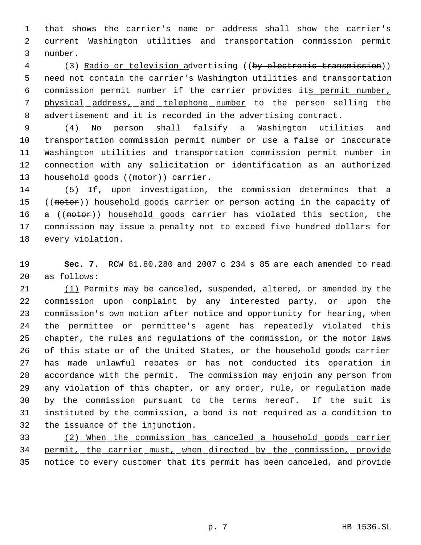that shows the carrier's name or address shall show the carrier's current Washington utilities and transportation commission permit number.

4 (3) Radio or television advertising ((by electronic transmission)) need not contain the carrier's Washington utilities and transportation 6 commission permit number if the carrier provides its permit number, 7 physical address, and telephone number to the person selling the advertisement and it is recorded in the advertising contract.

 (4) No person shall falsify a Washington utilities and transportation commission permit number or use a false or inaccurate Washington utilities and transportation commission permit number in connection with any solicitation or identification as an authorized 13 household goods ((motor)) carrier.

 (5) If, upon investigation, the commission determines that a 15 ((motor)) household goods carrier or person acting in the capacity of 16 a ((motor)) household goods carrier has violated this section, the commission may issue a penalty not to exceed five hundred dollars for every violation.

 **Sec. 7.** RCW 81.80.280 and 2007 c 234 s 85 are each amended to read as follows:

 (1) Permits may be canceled, suspended, altered, or amended by the commission upon complaint by any interested party, or upon the commission's own motion after notice and opportunity for hearing, when the permittee or permittee's agent has repeatedly violated this chapter, the rules and regulations of the commission, or the motor laws of this state or of the United States, or the household goods carrier has made unlawful rebates or has not conducted its operation in accordance with the permit. The commission may enjoin any person from any violation of this chapter, or any order, rule, or regulation made by the commission pursuant to the terms hereof. If the suit is instituted by the commission, a bond is not required as a condition to the issuance of the injunction.

 (2) When the commission has canceled a household goods carrier permit, the carrier must, when directed by the commission, provide notice to every customer that its permit has been canceled, and provide